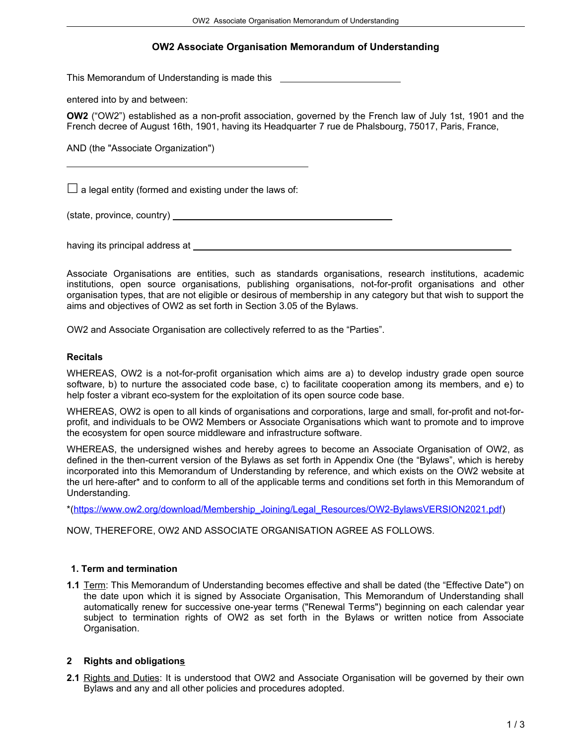# **OW2 Associate Organisation Memorandum of Understanding**

This Memorandum of Understanding is made this

entered into by and between:

**OW2** ("OW2") established as a non-profit association, governed by the French law of July 1st, 1901 and the French decree of August 16th, 1901, having its Headquarter 7 rue de Phalsbourg, 75017, Paris, France,

AND (the "Associate Organization")

 $\Box$  a legal entity (formed and existing under the laws of:

(state, province, country)

having its principal address at

Associate Organisations are entities, such as standards organisations, research institutions, academic institutions, open source organisations, publishing organisations, not-for-profit organisations and other organisation types, that are not eligible or desirous of membership in any category but that wish to support the aims and objectives of OW2 as set forth in Section 3.05 of the Bylaws.

OW2 and Associate Organisation are collectively referred to as the "Parties".

#### **Recitals**

 $\overline{a}$ 

WHEREAS, OW2 is a not-for-profit organisation which aims are a) to develop industry grade open source software, b) to nurture the associated code base, c) to facilitate cooperation among its members, and e) to help foster a vibrant eco-system for the exploitation of its open source code base.

WHEREAS, OW2 is open to all kinds of organisations and corporations, large and small, for-profit and not-forprofit, and individuals to be OW2 Members or Associate Organisations which want to promote and to improve the ecosystem for open source middleware and infrastructure software.

WHEREAS, the undersigned wishes and hereby agrees to become an Associate Organisation of OW2, as defined in the then-current version of the Bylaws as set forth in Appendix One (the "Bylaws", which is hereby incorporated into this Memorandum of Understanding by reference, and which exists on the OW2 website at the url here-after\* and to conform to all of the applicable terms and conditions set forth in this Memorandum of Understanding.

\*[\(https://www.ow2.org/download/Membership\\_Joining/Legal\\_Resources/OW2-BylawsVERSION2021.pdf\)](https://www.ow2.org/download/Membership_Joining/Legal_Resources/OW2-BylawsVERSION2021.pdf)

NOW, THEREFORE, OW2 AND ASSOCIATE ORGANISATION AGREE AS FOLLOWS.

### **1. Term and termination**

**1.1** Term: This Memorandum of Understanding becomes effective and shall be dated (the "Effective Date") on the date upon which it is signed by Associate Organisation, This Memorandum of Understanding shall automatically renew for successive one-year terms ("Renewal Terms") beginning on each calendar year subject to termination rights of OW2 as set forth in the Bylaws or written notice from Associate Organisation.

### **2 Rights and obligations**

**2.1** Rights and Duties: It is understood that OW2 and Associate Organisation will be governed by their own Bylaws and any and all other policies and procedures adopted.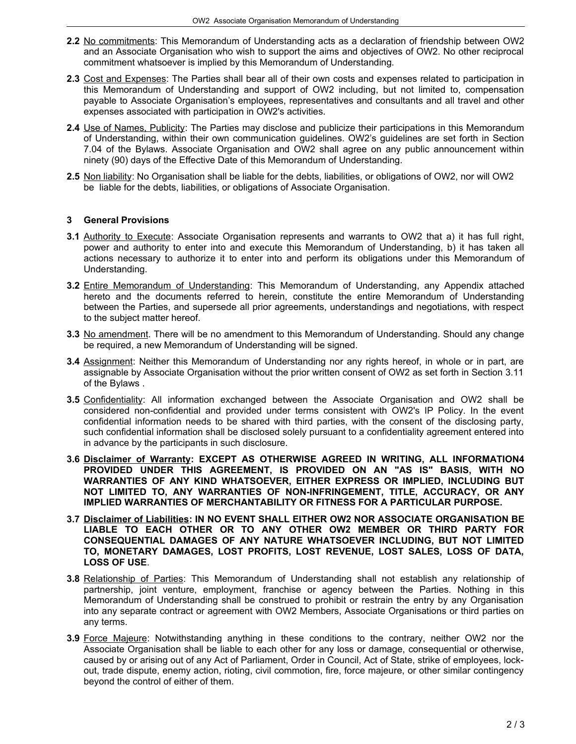- **2.2** No commitments: This Memorandum of Understanding acts as a declaration of friendship between OW2 and an Associate Organisation who wish to support the aims and objectives of OW2. No other reciprocal commitment whatsoever is implied by this Memorandum of Understanding.
- **2.3** Cost and Expenses: The Parties shall bear all of their own costs and expenses related to participation in this Memorandum of Understanding and support of OW2 including, but not limited to, compensation payable to Associate Organisation's employees, representatives and consultants and all travel and other expenses associated with participation in OW2's activities.
- **2.4** Use of Names, Publicity: The Parties may disclose and publicize their participations in this Memorandum of Understanding, within their own communication guidelines. OW2's guidelines are set forth in Section 7.04 of the Bylaws. Associate Organisation and OW2 shall agree on any public announcement within ninety (90) days of the Effective Date of this Memorandum of Understanding.
- **2.5** Non liability: No Organisation shall be liable for the debts, liabilities, or obligations of OW2, nor will OW2 be liable for the debts, liabilities, or obligations of Associate Organisation.

## **3 General Provisions**

- **3.1** Authority to Execute: Associate Organisation represents and warrants to OW2 that a) it has full right, power and authority to enter into and execute this Memorandum of Understanding, b) it has taken all actions necessary to authorize it to enter into and perform its obligations under this Memorandum of Understanding.
- **3.2** Entire Memorandum of Understanding: This Memorandum of Understanding, any Appendix attached hereto and the documents referred to herein, constitute the entire Memorandum of Understanding between the Parties, and supersede all prior agreements, understandings and negotiations, with respect to the subject matter hereof.
- **3.3** No amendment. There will be no amendment to this Memorandum of Understanding. Should any change be required, a new Memorandum of Understanding will be signed.
- **3.4** Assignment: Neither this Memorandum of Understanding nor any rights hereof, in whole or in part, are assignable by Associate Organisation without the prior written consent of OW2 as set forth in Section 3.11 of the Bylaws .
- **3.5** Confidentiality: All information exchanged between the Associate Organisation and OW2 shall be considered non-confidential and provided under terms consistent with OW2's IP Policy. In the event confidential information needs to be shared with third parties, with the consent of the disclosing party, such confidential information shall be disclosed solely pursuant to a confidentiality agreement entered into in advance by the participants in such disclosure.
- **3.6 Disclaimer of Warranty: EXCEPT AS OTHERWISE AGREED IN WRITING, ALL INFORMATION4 PROVIDED UNDER THIS AGREEMENT, IS PROVIDED ON AN "AS IS" BASIS, WITH NO WARRANTIES OF ANY KIND WHATSOEVER, EITHER EXPRESS OR IMPLIED, INCLUDING BUT NOT LIMITED TO, ANY WARRANTIES OF NON-INFRINGEMENT, TITLE, ACCURACY, OR ANY IMPLIED WARRANTIES OF MERCHANTABILITY OR FITNESS FOR A PARTICULAR PURPOSE.**
- **3.7 Disclaimer of Liabilities: IN NO EVENT SHALL EITHER OW2 NOR ASSOCIATE ORGANISATION BE LIABLE TO EACH OTHER OR TO ANY OTHER OW2 MEMBER OR THIRD PARTY FOR CONSEQUENTIAL DAMAGES OF ANY NATURE WHATSOEVER INCLUDING, BUT NOT LIMITED TO, MONETARY DAMAGES, LOST PROFITS, LOST REVENUE, LOST SALES, LOSS OF DATA, LOSS OF USE**.
- **3.8** Relationship of Parties: This Memorandum of Understanding shall not establish any relationship of partnership, joint venture, employment, franchise or agency between the Parties. Nothing in this Memorandum of Understanding shall be construed to prohibit or restrain the entry by any Organisation into any separate contract or agreement with OW2 Members, Associate Organisations or third parties on any terms.
- **3.9** Force Majeure: Notwithstanding anything in these conditions to the contrary, neither OW2 nor the Associate Organisation shall be liable to each other for any loss or damage, consequential or otherwise, caused by or arising out of any Act of Parliament, Order in Council, Act of State, strike of employees, lockout, trade dispute, enemy action, rioting, civil commotion, fire, force majeure, or other similar contingency beyond the control of either of them.